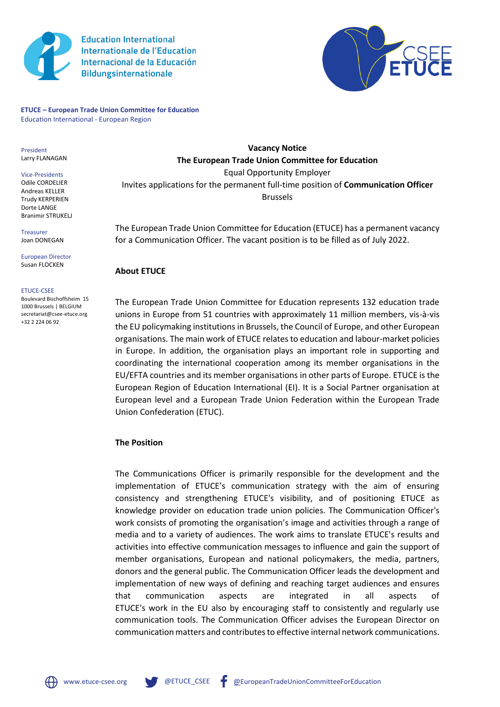

**Education International Internationale de l'Education** Internacional de la Educación **Bildungsinternationale** 



**ETUCE – European Trade Union Committee for Education** Education International - European Region

President Larry FLANAGAN

Vice-Presidents Odile CORDELIER Andreas KELLER Trudy KERPERIEN Dorte LANGE Branimir STRUKELJ

Treasurer Joan DONEGAN

European Director Susan FLOCKEN

#### ETUCE-CSEE

Boulevard Bischoffsheim 15 1000 Brussels | BELGIUM secretariat@csee-etuce.org +32 2 224 06 92

**Vacancy Notice The European Trade Union Committee for Education** Equal Opportunity Employer Invites applications for the permanent full-time position of **Communication Officer** Brussels

The European Trade Union Committee for Education (ETUCE) has a permanent vacancy for a Communication Officer. The vacant position is to be filled as of July 2022.

### **About ETUCE**

The European Trade Union Committee for Education represents 132 education trade unions in Europe from 51 countries with approximately 11 million members, vis-à-vis the EU policymaking institutions in Brussels, the Council of Europe, and other European organisations. The main work of ETUCE relates to education and labour-market policies in Europe. In addition, the organisation plays an important role in supporting and coordinating the international cooperation among its member organisations in the EU/EFTA countries and its member organisations in other parts of Europe. ETUCE is the European Region of Education International (EI). It is a Social Partner organisation at European level and a European Trade Union Federation within the European Trade Union Confederation (ETUC).

### **The Position**

The Communications Officer is primarily responsible for the development and the implementation of ETUCE's communication strategy with the aim of ensuring consistency and strengthening ETUCE's visibility, and of positioning ETUCE as knowledge provider on education trade union policies. The Communication Officer's work consists of promoting the organisation's image and activities through a range of media and to a variety of audiences. The work aims to translate ETUCE's results and activities into effective communication messages to influence and gain the support of member organisations, European and national policymakers, the media, partners, donors and the general public. The Communication Officer leads the development and implementation of new ways of defining and reaching target audiences and ensures that communication aspects are integrated in all aspects ETUCE's work in the EU also by encouraging staff to consistently and regularly use communication tools. The Communication Officer advises the European Director on communication matters and contributes to effective internal network communications.